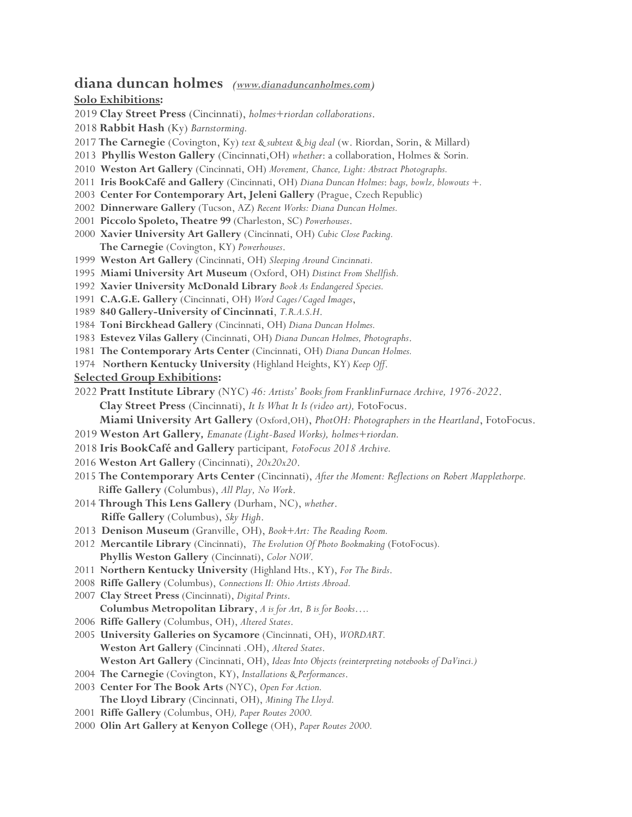## **diana duncan holmes** *[\(www.dianaduncanholmes.com\)](http://www.dianaduncanholmes.com/)*

### **Solo Exhibitions:**

- **Clay Street Press** (Cincinnati), *holmes+riordan collaborations*.
- **Rabbit Hash** (Ky) *Barnstorming.*
- **The Carnegie** (Covington, Ky) *text & subtext & big deal* (w. Riordan, Sorin, & Millard)
- **Phyllis Weston Gallery** (Cincinnati,OH) *whether*: a collaboration, Holmes & Sorin*.*
- **Weston Art Gallery** (Cincinnati, OH) *Movement, Chance, Light: Abstract Photographs.*
- **Iris BookCafé and Gallery** (Cincinnati, OH) *Diana Duncan Holmes*: *bags, bowlz, blowouts +.*
- **Center For Contemporary Art, Jeleni Gallery** (Prague, Czech Republic)
- **Dinnerware Gallery** (Tucson, AZ) *Recent Works: Diana Duncan Holmes.*
- **Piccolo Spoleto, Theatre 99** (Charleston, SC) *Powerhouses*.
- **Xavier University Art Gallery** (Cincinnati, OH) *Cubic Close Packing.*   **The Carnegie** (Covington, KY) *Powerhouses*.
- **Weston Art Gallery** (Cincinnati, OH) *Sleeping Around Cincinnati.*
- **Miami University Art Museum** (Oxford, OH) *Distinct From Shellfish.*
- **Xavier University McDonald Library** *Book As Endangered Species.*
- **C.A.G.E. Gallery** (Cincinnati, OH) *Word Cages/Caged Images*,
- **840 Gallery-University of Cincinnati**, *T.R.A.S.H*.
- **Toni Birckhead Gallery** (Cincinnati, OH) *Diana Duncan Holmes.*
- **Estevez Vilas Gallery** (Cincinnati, OH) *Diana Duncan Holmes, Photographs*.
- **The Contemporary Arts Center** (Cincinnati, OH) *Diana Duncan Holmes.*
- **Northern Kentucky University** (Highland Heights, KY) *Keep Off*.
- **Selected Group Exhibitions:**
- **Pratt Institute Library** (NYC) *46: Artists' Books from FranklinFurnace Archive, 1976-2022*. **Clay Street Press** (Cincinnati), *It Is What It Is (video art),* FotoFocus.

 **Miami University Art Gallery** (Oxford,OH), *PhotOH: Photographers in the Heartland*, FotoFocus.

- **Weston Art Gallery***, Emanate (Light-Based Works), holmes+riordan.*
- **Iris BookCafé and Gallery** participant*, FotoFocus 2018 Archive.*
- **Weston Art Gallery** (Cincinnati), *20x20x20*.
- **The Contemporary Arts Center** (Cincinnati), *After the Moment: Reflections on Robert Mapplethorpe.* R**iffe Gallery** (Columbus), *All Play, No Work*.
- **Through This Lens Gallery** (Durham, NC), *whether*. **Riffe Gallery** (Columbus), *Sky High*.
- **Denison Museum** (Granville, OH), *Book+Art: The Reading Room.*
- **Mercantile Library** (Cincinnati), *The Evolution Of Photo Bookmaking* (FotoFocus)*.*   **Phyllis Weston Gallery** (Cincinnati), *Color NOW*.
- **Northern Kentucky University** (Highland Hts., KY), *For The Birds*.
- **Riffe Gallery** (Columbus), *Connections II: Ohio Artists Abroad.*
- **Clay Street Press** (Cincinnati), *Digital Prints*.
- **Columbus Metropolitan Library**, *A is for Art, B is for Books….*
- **Riffe Gallery** (Columbus, OH), *Altered States*.
- **University Galleries on Sycamore** (Cincinnati, OH), *WORDART.*   **Weston Art Gallery** (Cincinnati .OH), *Altered States*. **Weston Art Gallery** (Cincinnati, OH), *Ideas Into Objects (reinterpreting notebooks of DaVinci.)*
- **The Carnegie** (Covington, KY), *Installations & Performances*.
- **Center For The Book Arts** (NYC), *Open For Action.*   **The Lloyd Library** (Cincinnati, OH), *Mining The Lloyd.*
- **Riffe Gallery** (Columbus, OH*), Paper Routes 2000.*
- **Olin Art Gallery at Kenyon College** (OH), *Paper Routes 2000.*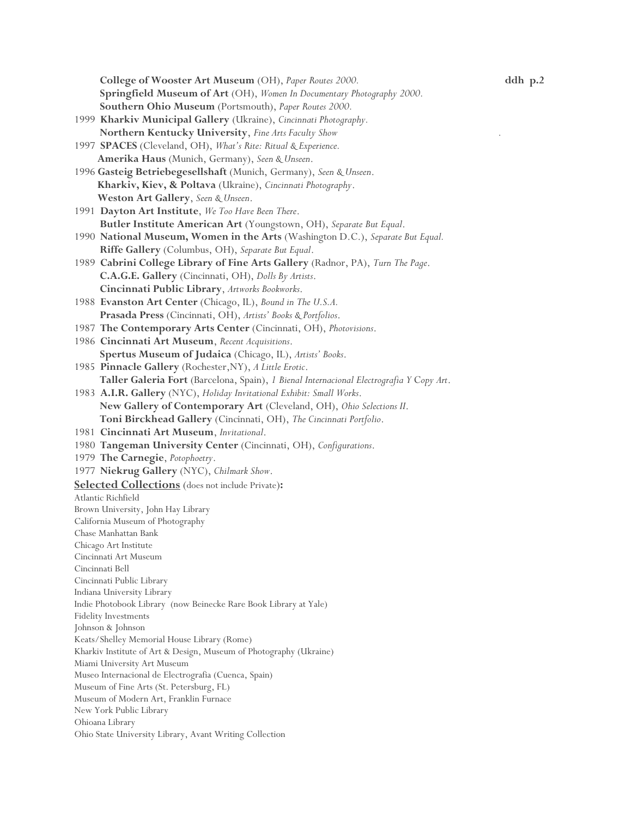**College of Wooster Art Museum** (OH), *Paper Routes 2000.* **ddh p.2 Springfield Museum of Art** (OH), *Women In Documentary Photography 2000.* **Southern Ohio Museum** (Portsmouth), *Paper Routes 2000.* 1999 **Kharkiv Municipal Gallery** (Ukraine), *Cincinnati Photography.* **Northern Kentucky University**, *Fine Arts Faculty Show**.*  1997 **SPACES** (Cleveland, OH), *What's Rite: Ritual & Experience.*   **Amerika Haus** (Munich, Germany), *Seen & Unseen*. 1996 **Gasteig Betriebegesellshaft** (Munich, Germany), *Seen & Unseen*.  **Kharkiv, Kiev, & Poltava** (Ukraine), *Cincinnati Photography*.  **Weston Art Gallery**, *Seen & Unseen*. 1991 **Dayton Art Institute**, *We Too Have Been There*.  **Butler Institute American Art** (Youngstown, OH), *Separate But Equal*. 1990 **National Museum, Women in the Arts** (Washington D.C.), *Separate But Equal.*   **Riffe Gallery** (Columbus, OH), *Separate But Equal*. 1989 **Cabrini College Library of Fine Arts Gallery** (Radnor, PA), *Turn The Page*.  **C.A.G.E. Gallery** (Cincinnati, OH), *Dolls By Artists*.  **Cincinnati Public Library**, *Artworks Bookworks*. 1988 **Evanston Art Center** (Chicago, IL), *Bound in The U.S.A.*   **Prasada Press** (Cincinnati, OH), *Artists' Books & Portfolios*. 1987 **The Contemporary Arts Center** (Cincinnati, OH), *Photovisions*. 1986 **Cincinnati Art Museum**, *Recent Acquisitions*.  **Spertus Museum of Judaica** (Chicago, IL), *Artists' Books*. 1985 **Pinnacle Gallery** (Rochester,NY), *A Little Erotic*.  **Taller Galeria Fort** (Barcelona, Spain), *1 Bienal Internacional Electrografia Y* C*opy Art*. 1983 **A.I.R. Gallery** (NYC), *Holiday Invitational Exhibit: Small Works*.  **New Gallery of Contemporary Art** (Cleveland, OH), *Ohio Selections II*.  **Toni Birckhead Gallery** (Cincinnati, OH), *The Cincinnati Portfolio*. 1981 **Cincinnati Art Museum**, *Invitational*. 1980 **Tangeman University Center** (Cincinnati, OH), *Configurations*. 1979 **The Carnegie**, *Potophoetry*. 1977 **Niekrug Gallery** (NYC), *Chilmark Show*. **Selected Collections** (does not include Private)**:**  Atlantic Richfield Brown University, John Hay Library California Museum of Photography Chase Manhattan Bank Chicago Art Institute Cincinnati Art Museum Cincinnati Bell Cincinnati Public Library Indiana University Library Indie Photobook Library (now Beinecke Rare Book Library at Yale) Fidelity Investments Johnson & Johnson Keats/Shelley Memorial House Library (Rome) Kharkiv Institute of Art & Design, Museum of Photography (Ukraine) Miami University Art Museum Museo Internacional de Electrografia (Cuenca, Spain) Museum of Fine Arts (St. Petersburg, FL) Museum of Modern Art, Franklin Furnace New York Public Library Ohioana Library Ohio State University Library, Avant Writing Collection